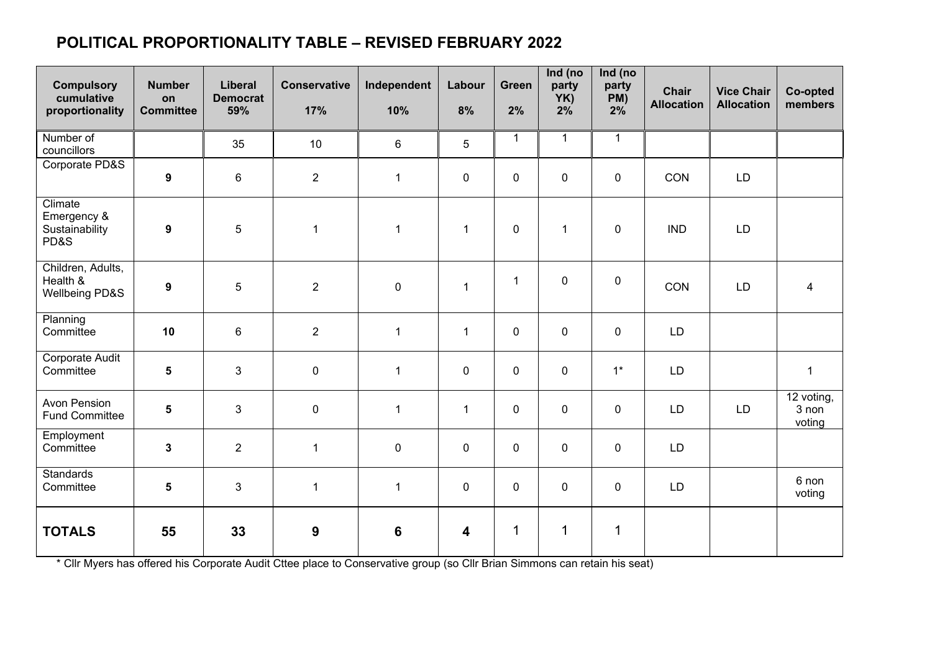## **POLITICAL PROPORTIONALITY TABLE – REVISED FEBRUARY 2022**

| <b>Compulsory</b><br>cumulative<br>proportionality | <b>Number</b><br>on<br><b>Committee</b> | <b>Liberal</b><br><b>Democrat</b><br>59% | <b>Conservative</b><br>17% | Independent<br>10% | Labour<br>8%            | Green<br>2%  | Ind (no<br>party<br>YK)<br>2% | Ind (no<br>party<br>PM)<br>2% | <b>Chair</b><br><b>Allocation</b> | <b>Vice Chair</b><br><b>Allocation</b> | Co-opted<br>members           |
|----------------------------------------------------|-----------------------------------------|------------------------------------------|----------------------------|--------------------|-------------------------|--------------|-------------------------------|-------------------------------|-----------------------------------|----------------------------------------|-------------------------------|
| Number of<br>councillors                           |                                         | 35                                       | 10                         | $6\phantom{1}$     | 5                       | $\mathbf{1}$ | $\mathbf{1}$                  | $\mathbf{1}$                  |                                   |                                        |                               |
| Corporate PD&S                                     | $\boldsymbol{9}$                        | $6\phantom{1}$                           | $\overline{2}$             | $\mathbf{1}$       | $\mathbf 0$             | $\pmb{0}$    | $\mathbf 0$                   | $\mathbf 0$                   | CON                               | LD                                     |                               |
| Climate<br>Emergency &<br>Sustainability<br>PD&S   | $\boldsymbol{9}$                        | 5                                        | $\mathbf{1}$               | $\overline{1}$     | $\mathbf{1}$            | $\pmb{0}$    | $\mathbf{1}$                  | $\mathbf 0$                   | <b>IND</b>                        | LD                                     |                               |
| Children, Adults,<br>Health &<br>Wellbeing PD&S    | $\boldsymbol{9}$                        | $\sqrt{5}$                               | $\overline{2}$             | $\pmb{0}$          | $\mathbf{1}$            | $\mathbf{1}$ | 0                             | $\mathbf 0$                   | CON                               | LD                                     | $\overline{\mathbf{4}}$       |
| Planning<br>Committee                              | 10                                      | $\,6\,$                                  | $\overline{2}$             | $\overline{1}$     | $\mathbf{1}$            | $\pmb{0}$    | 0                             | $\mathbf 0$                   | LD                                |                                        |                               |
| Corporate Audit<br>Committee                       | $\overline{\mathbf{5}}$                 | $\mathfrak{S}$                           | $\mathbf 0$                | $\overline{1}$     | $\mathbf 0$             | $\pmb{0}$    | 0                             | $1^*$                         | LD                                |                                        | $\mathbf{1}$                  |
| <b>Avon Pension</b><br><b>Fund Committee</b>       | $\overline{\mathbf{5}}$                 | $\mathfrak{S}$                           | $\mathbf 0$                | $\mathbf{1}$       | $\overline{1}$          | $\pmb{0}$    | 0                             | $\mathbf 0$                   | LD                                | LD                                     | 12 voting,<br>3 non<br>voting |
| Employment<br>Committee                            | $\mathbf{3}$                            | $\overline{2}$                           | $\mathbf{1}$               | $\mathbf 0$        | $\mathbf 0$             | $\pmb{0}$    | $\mathbf 0$                   | $\mathbf 0$                   | LD                                |                                        |                               |
| <b>Standards</b><br>Committee                      | $\overline{\mathbf{5}}$                 | $\mathfrak{S}$                           | $\mathbf{1}$               | $\overline{1}$     | $\mathbf 0$             | $\mathbf 0$  | $\mathbf 0$                   | $\mathbf 0$                   | LD                                |                                        | 6 non<br>voting               |
| <b>TOTALS</b>                                      | 55                                      | 33                                       | 9                          | $6\phantom{1}$     | $\overline{\mathbf{4}}$ | $\mathbf 1$  | 1                             | $\mathbf 1$                   |                                   |                                        |                               |

\* Cllr Myers has offered his Corporate Audit Cttee place to Conservative group (so Cllr Brian Simmons can retain his seat)